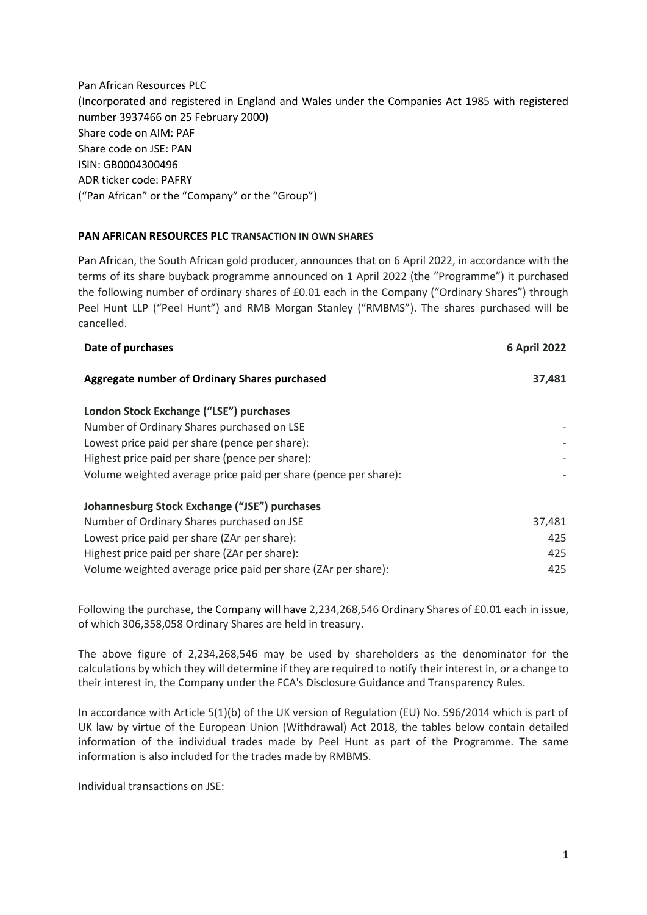Pan African Resources PLC (Incorporated and registered in England and Wales under the Companies Act 1985 with registered number 3937466 on 25 February 2000) Share code on AIM: PAF Share code on JSE: PAN ISIN: GB0004300496 ADR ticker code: PAFRY ("Pan African" or the "Company" or the "Group")

## **PAN AFRICAN RESOURCES PLC TRANSACTION IN OWN SHARES**

Pan African, the South African gold producer, announces that on 6 April 2022, in accordance with the terms of its share buyback programme announced on 1 April 2022 (the "Programme") it purchased the following number of ordinary shares of £0.01 each in the Company ("Ordinary Shares") through Peel Hunt LLP ("Peel Hunt") and RMB Morgan Stanley ("RMBMS"). The shares purchased will be cancelled.

| Date of purchases                                               | <b>6 April 2022</b> |
|-----------------------------------------------------------------|---------------------|
| Aggregate number of Ordinary Shares purchased                   | 37,481              |
| London Stock Exchange ("LSE") purchases                         |                     |
| Number of Ordinary Shares purchased on LSE                      |                     |
| Lowest price paid per share (pence per share):                  |                     |
| Highest price paid per share (pence per share):                 |                     |
| Volume weighted average price paid per share (pence per share): |                     |
| Johannesburg Stock Exchange ("JSE") purchases                   |                     |
| Number of Ordinary Shares purchased on JSE                      | 37,481              |
| Lowest price paid per share (ZAr per share):                    | 425                 |
| Highest price paid per share (ZAr per share):                   | 425                 |
| Volume weighted average price paid per share (ZAr per share):   | 425                 |

Following the purchase, the Company will have 2,234,268,546 Ordinary Shares of £0.01 each in issue, of which 306,358,058 Ordinary Shares are held in treasury.

The above figure of 2,234,268,546 may be used by shareholders as the denominator for the calculations by which they will determine if they are required to notify their interest in, or a change to their interest in, the Company under the FCA's Disclosure Guidance and Transparency Rules.

In accordance with Article 5(1)(b) of the UK version of Regulation (EU) No. 596/2014 which is part of UK law by virtue of the European Union (Withdrawal) Act 2018, the tables below contain detailed information of the individual trades made by Peel Hunt as part of the Programme. The same information is also included for the trades made by RMBMS.

Individual transactions on JSE: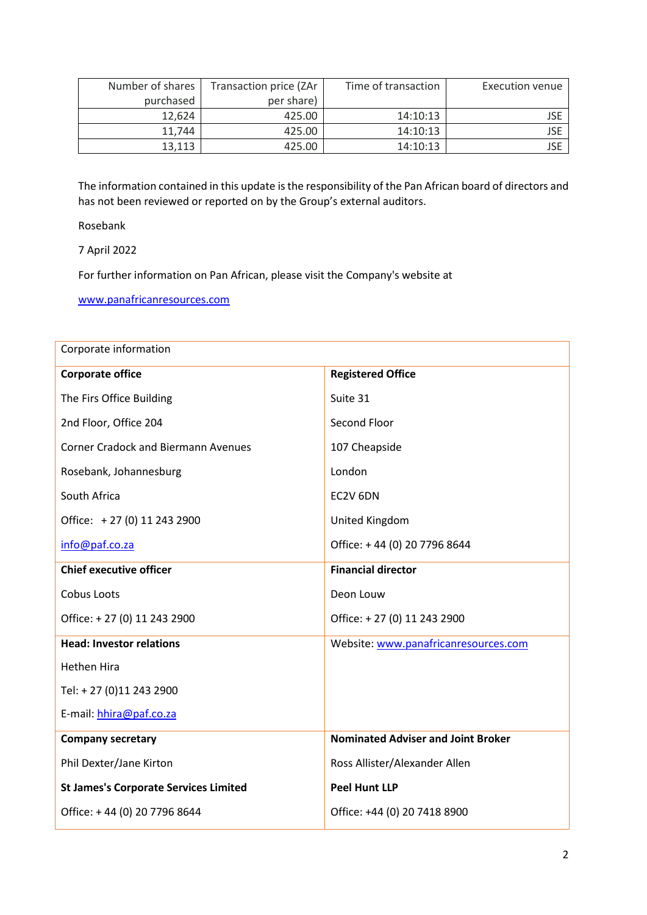| Number of shares | Transaction price (ZAr | Time of transaction | Execution venue |
|------------------|------------------------|---------------------|-----------------|
| purchased        | per share)             |                     |                 |
| 12,624           | 425.00                 | 14:10:13            | JSE             |
| 11.744           | 425.00                 | 14:10:13            | JSE             |
| 13,113           | 425.00                 | 14:10:13            | JSE             |

The information contained in this update is the responsibility of the Pan African board of directors and has not been reviewed or reported on by the Group's external auditors.

Rosebank

7 April 2022

For further information on Pan African, please visit the Company's website at

[www.panafricanresources.com](http://www.panafricanresources.com/)

| Corporate information                        |                                           |  |  |
|----------------------------------------------|-------------------------------------------|--|--|
| <b>Corporate office</b>                      | <b>Registered Office</b>                  |  |  |
| The Firs Office Building                     | Suite 31                                  |  |  |
| 2nd Floor, Office 204                        | Second Floor                              |  |  |
| <b>Corner Cradock and Biermann Avenues</b>   | 107 Cheapside                             |  |  |
| Rosebank, Johannesburg                       | London                                    |  |  |
| South Africa                                 | EC2V 6DN                                  |  |  |
| Office: +27 (0) 11 243 2900                  | United Kingdom                            |  |  |
| info@paf.co.za                               | Office: +44 (0) 20 7796 8644              |  |  |
| <b>Chief executive officer</b>               | <b>Financial director</b>                 |  |  |
| Cobus Loots                                  | Deon Louw                                 |  |  |
| Office: +27 (0) 11 243 2900                  | Office: +27 (0) 11 243 2900               |  |  |
| <b>Head: Investor relations</b>              | Website: www.panafricanresources.com      |  |  |
| Hethen Hira                                  |                                           |  |  |
| Tel: +27 (0)11 243 2900                      |                                           |  |  |
| E-mail: hhira@paf.co.za                      |                                           |  |  |
| <b>Company secretary</b>                     | <b>Nominated Adviser and Joint Broker</b> |  |  |
| Phil Dexter/Jane Kirton                      | Ross Allister/Alexander Allen             |  |  |
| <b>St James's Corporate Services Limited</b> | <b>Peel Hunt LLP</b>                      |  |  |
| Office: +44 (0) 20 7796 8644                 | Office: +44 (0) 20 7418 8900              |  |  |